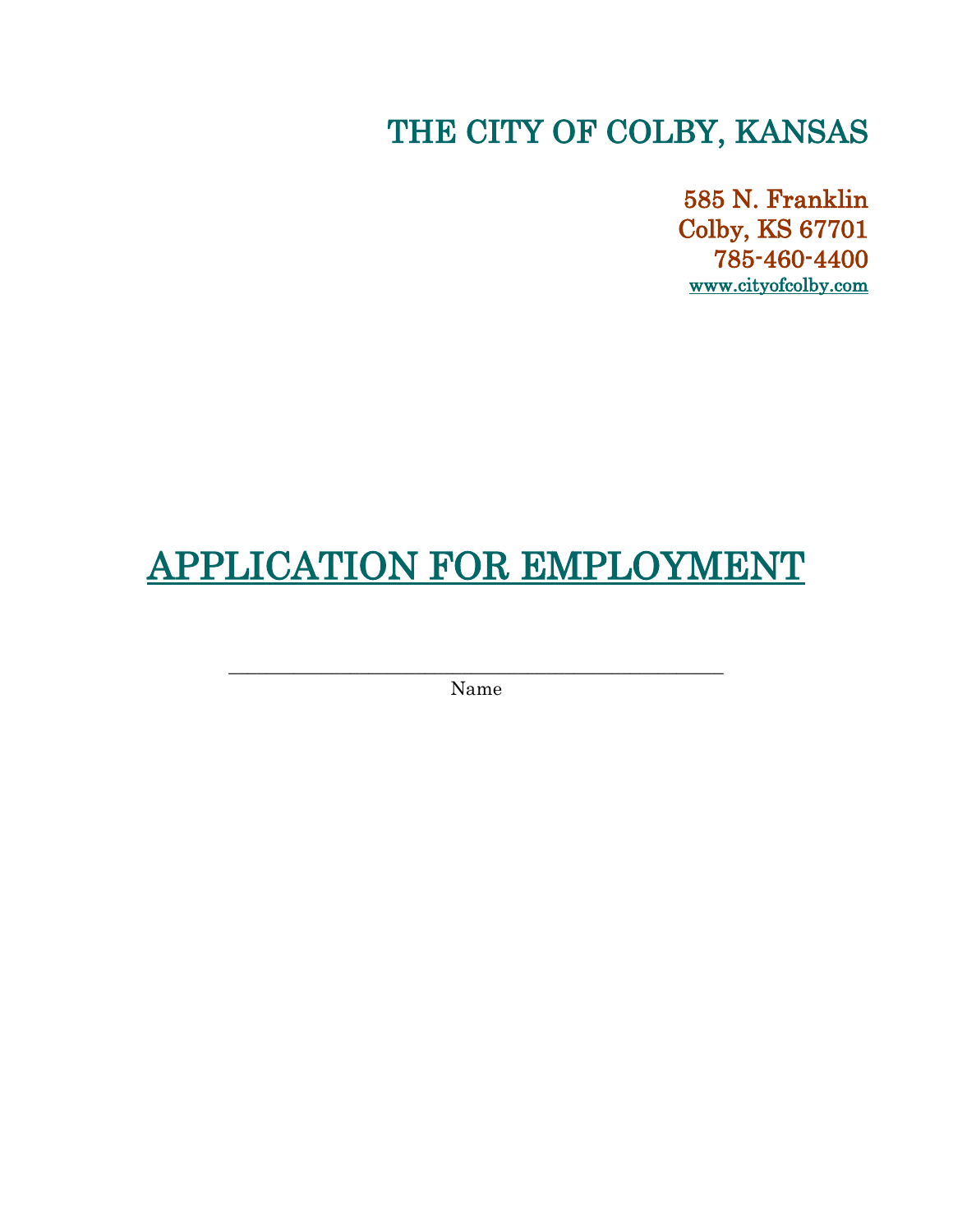## THE CITY OF COLBY, KANSAS

585 N. Franklin Colby, KS 67701 785-460-4400 [www.cityofcolby.com](http://www.cityofcolby.com/) 

# APPLICATION FOR EMPLOYMENT

\_\_\_\_\_\_\_\_\_\_\_\_\_\_\_\_\_\_\_\_\_\_\_\_\_\_\_\_\_\_\_\_\_\_\_\_\_\_\_\_\_\_\_\_\_\_\_\_\_\_\_\_\_ Name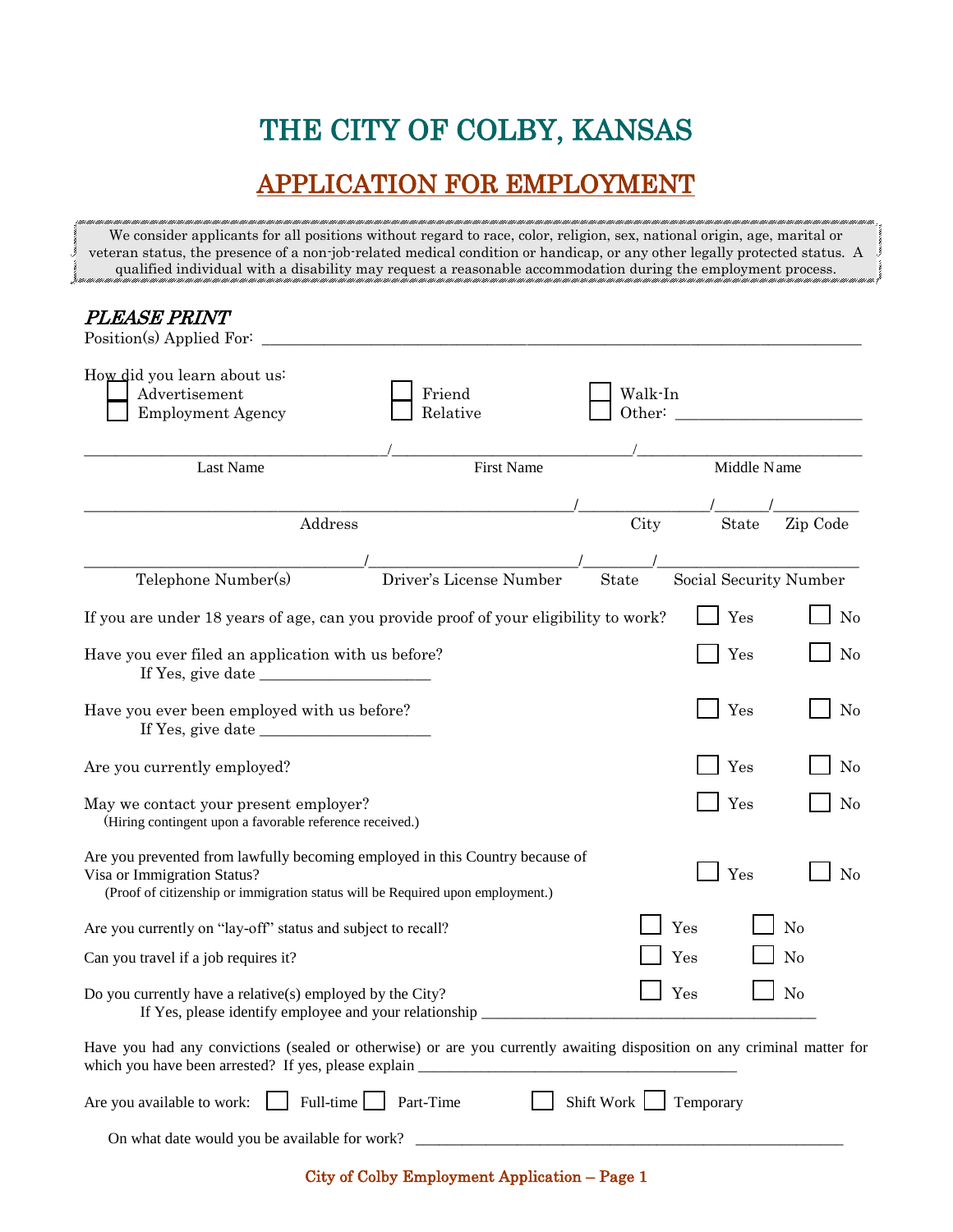## THE CITY OF COLBY, KANSAS

## APPLICATION FOR EMPLOYMENT

We consider applicants for all positions without regard to race, color, religion, sex, national origin, age, marital or veteran status, the presence of a non-job-related medical condition or handicap, or any other legally protected status. A qualified individual with a disability may request a reasonable accommodation during the employment process.

| PLEASE PRINT<br>Position(s) Applied For:                                                                                                                                                      |                         |                      |                        |                |
|-----------------------------------------------------------------------------------------------------------------------------------------------------------------------------------------------|-------------------------|----------------------|------------------------|----------------|
| How did you learn about us:<br>Advertisement<br><b>Employment Agency</b>                                                                                                                      | Friend<br>Relative      | Walk-In<br>Other:    |                        |                |
| Last Name                                                                                                                                                                                     | <b>First Name</b>       |                      | Middle Name            |                |
| Address                                                                                                                                                                                       |                         | City                 | State                  | Zip Code       |
| Telephone Number(s)                                                                                                                                                                           | Driver's License Number | State                | Social Security Number |                |
| If you are under 18 years of age, can you provide proof of your eligibility to work?                                                                                                          |                         |                      | Yes                    | N <sub>o</sub> |
| Have you ever filed an application with us before?<br>If Yes, give date $\_\_\_\_\_\_\_\_\_\_\_\_\_\_\_\_\_\_\_\_\_\_\_\_\_\_\_\_$                                                            |                         |                      | Yes                    | N <sub>o</sub> |
| Have you ever been employed with us before?<br>If Yes, give date $\_\_\_\_\_\_\_\_\_\_\_\_\_\_\_\_\_\_\_\_\_\_\_\_\_\_\_$                                                                     |                         |                      | Yes                    | N <sub>o</sub> |
| Are you currently employed?                                                                                                                                                                   |                         |                      | Yes                    | N <sub>0</sub> |
| May we contact your present employer?<br>(Hiring contingent upon a favorable reference received.)                                                                                             |                         |                      | Yes                    | N <sub>o</sub> |
| Are you prevented from lawfully becoming employed in this Country because of<br>Visa or Immigration Status?<br>(Proof of citizenship or immigration status will be Required upon employment.) |                         |                      | Yes                    | N <sub>o</sub> |
| Are you currently on "lay-off" status and subject to recall?                                                                                                                                  |                         |                      | Yes                    | N <sub>o</sub> |
| Can you travel if a job requires it?                                                                                                                                                          |                         |                      | Yes                    | N <sub>o</sub> |
| Do you currently have a relative(s) employed by the City?<br>If Yes, please identify employee and your relationship                                                                           |                         |                      | Yes                    | N <sub>o</sub> |
| Have you had any convictions (sealed or otherwise) or are you currently awaiting disposition on any criminal matter for                                                                       |                         |                      |                        |                |
| Are you available to work:                                                                                                                                                                    | Full-time   Part-Time   | Shift Work Temporary |                        |                |
| On what date would you be available for work? ___________________________________                                                                                                             |                         |                      |                        |                |

City of Colby Employment Application – Page 1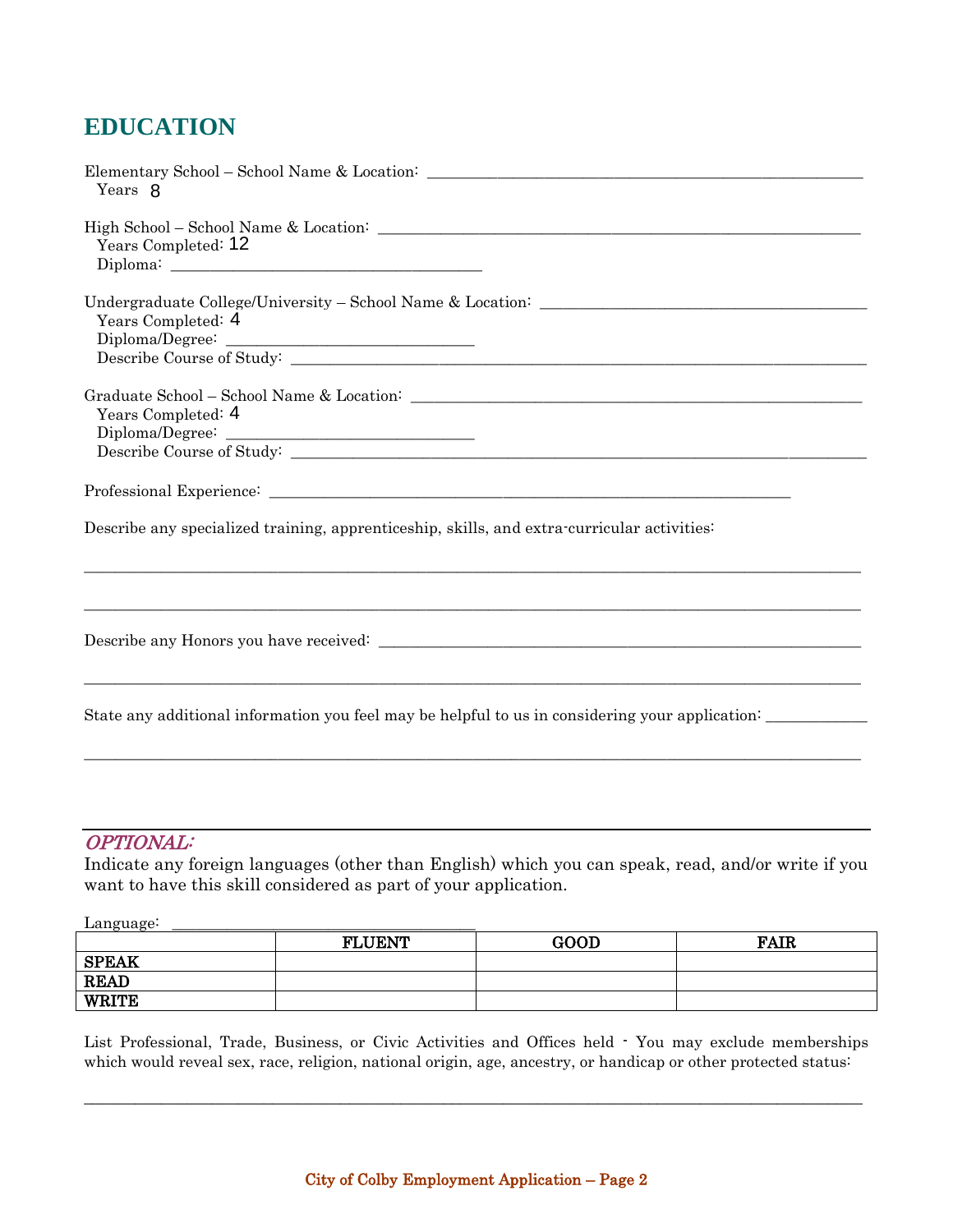### **EDUCATION**

| Years 8                                                                                                                                                                                                                                                                                                                                                                                                                            |
|------------------------------------------------------------------------------------------------------------------------------------------------------------------------------------------------------------------------------------------------------------------------------------------------------------------------------------------------------------------------------------------------------------------------------------|
| Years Completed: 12<br>Diploma: $\frac{1}{\sqrt{1-\frac{1}{2}}\sqrt{1-\frac{1}{2}}\sqrt{1-\frac{1}{2}}\sqrt{1-\frac{1}{2}}\sqrt{1-\frac{1}{2}}\sqrt{1-\frac{1}{2}}\sqrt{1-\frac{1}{2}}\sqrt{1-\frac{1}{2}}\sqrt{1-\frac{1}{2}}\sqrt{1-\frac{1}{2}}\sqrt{1-\frac{1}{2}}\sqrt{1-\frac{1}{2}}\sqrt{1-\frac{1}{2}}\sqrt{1-\frac{1}{2}}\sqrt{1-\frac{1}{2}}\sqrt{1-\frac{1}{2}}\sqrt{1-\frac{1}{2}}\sqrt{1-\frac{1}{2}}\sqrt{1-\frac{1$ |
| Undergraduate College/University - School Name & Location: ______________________<br>Years Completed: 4<br>$\label{prop:binomial} \text{Diploma/Degree: } \begin{tabular}{ c c c } \hline \multicolumn{3}{ c }{\text{Diploma/Degree:}} \end{tabular}$                                                                                                                                                                              |
| Years Completed: 4<br>$\label{prop:binomial} \text{Diploma/Degree: } \begin{tabular}{c} \textbf{0.00} \end{tabular}$                                                                                                                                                                                                                                                                                                               |
|                                                                                                                                                                                                                                                                                                                                                                                                                                    |
| Describe any specialized training, apprenticeship, skills, and extra-curricular activities                                                                                                                                                                                                                                                                                                                                         |
|                                                                                                                                                                                                                                                                                                                                                                                                                                    |
| State any additional information you feel may be helpful to us in considering your application:                                                                                                                                                                                                                                                                                                                                    |

#### OPTIONAL:

Indicate any foreign languages (other than English) which you can speak, read, and/or write if you want to have this skill considered as part of your application.

Language:

|              | <b>FLUENT</b> | GOOD | <b>FAIR</b> |
|--------------|---------------|------|-------------|
| <b>SPEAK</b> |               |      |             |
| <b>READ</b>  |               |      |             |
| <b>WRITE</b> |               |      |             |

List Professional, Trade, Business, or Civic Activities and Offices held - You may exclude memberships which would reveal sex, race, religion, national origin, age, ancestry, or handicap or other protected status:

 $\_$  ,  $\_$  ,  $\_$  ,  $\_$  ,  $\_$  ,  $\_$  ,  $\_$  ,  $\_$  ,  $\_$  ,  $\_$  ,  $\_$  ,  $\_$  ,  $\_$  ,  $\_$  ,  $\_$  ,  $\_$  ,  $\_$  ,  $\_$  ,  $\_$  ,  $\_$  ,  $\_$  ,  $\_$  ,  $\_$  ,  $\_$  ,  $\_$  ,  $\_$  ,  $\_$  ,  $\_$  ,  $\_$  ,  $\_$  ,  $\_$  ,  $\_$  ,  $\_$  ,  $\_$  ,  $\_$  ,  $\_$  ,  $\_$  ,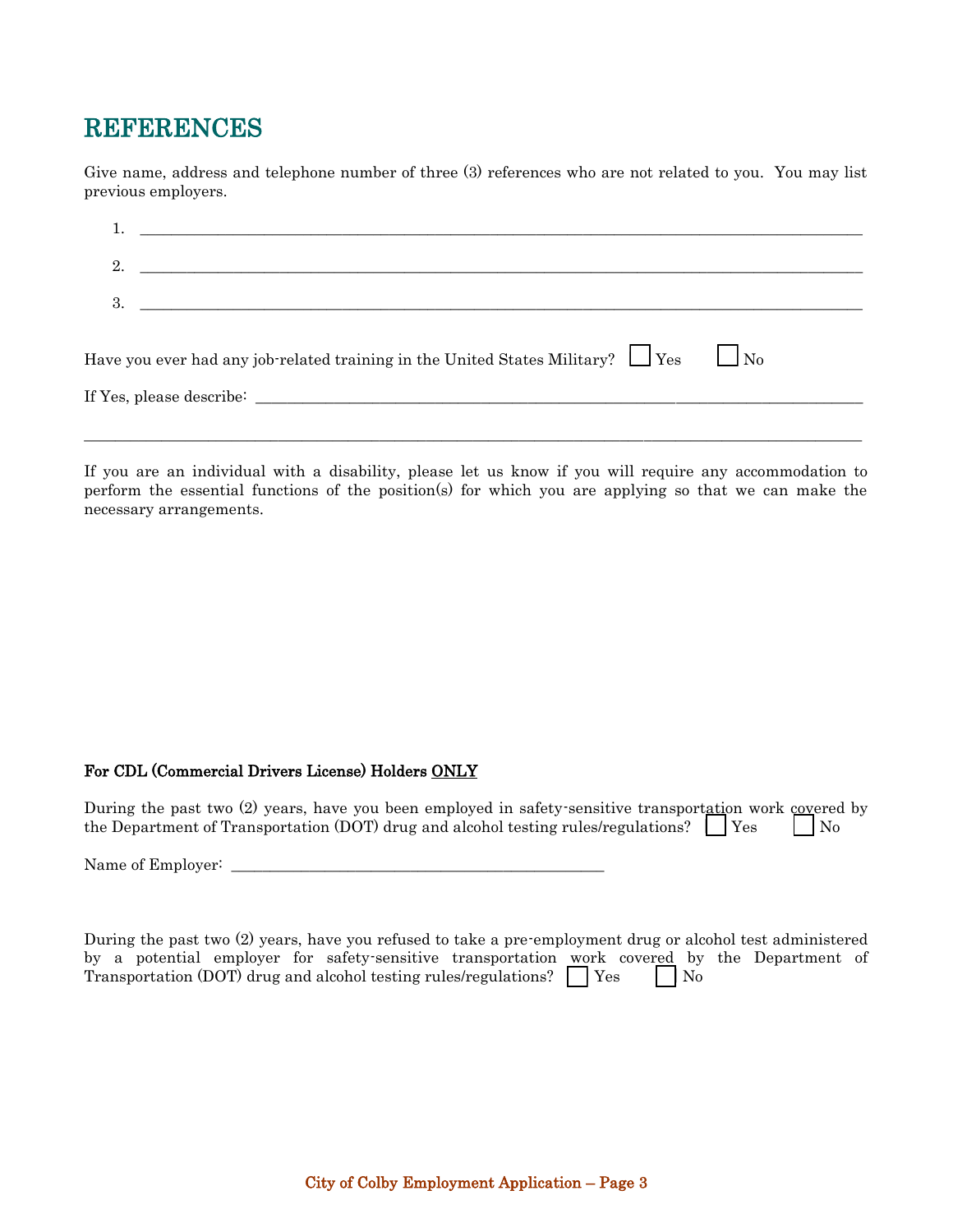## REFERENCES

Give name, address and telephone number of three (3) references who are not related to you. You may list previous employers.

| <u> 1989 - Andrea Andrew Maria (h. 1989).</u>                                                  |  |
|------------------------------------------------------------------------------------------------|--|
|                                                                                                |  |
| $3.$ $\overline{\phantom{a}}$                                                                  |  |
| Have you ever had any job-related training in the United States Military? $\Box$ Yes $\Box$ No |  |
|                                                                                                |  |

If you are an individual with a disability, please let us know if you will require any accommodation to perform the essential functions of the position(s) for which you are applying so that we can make the necessary arrangements.

#### For CDL (Commercial Drivers License) Holders ONLY

During the past two (2) years, have you been employed in safety-sensitive transportation work covered by the Department of Transportation (DOT) drug and alcohol testing rules/regulations?  $\Box$  Yes  $\Box$  No

Name of Employer: \_\_\_\_\_\_\_\_\_\_\_\_\_\_\_\_\_\_\_\_\_\_\_\_\_\_\_\_\_\_\_\_\_\_\_\_\_\_\_\_\_\_\_\_\_\_\_\_

|  |  | During the past two (2) years, have you refused to take a pre-employment drug or alcohol test administered |  |                    |  |  |
|--|--|------------------------------------------------------------------------------------------------------------|--|--------------------|--|--|
|  |  | by a potential employer for safety-sensitive transportation work covered by the Department of              |  |                    |  |  |
|  |  | Transportation (DOT) drug and alcohol testing rules/regulations? $\Box$ Yes                                |  | $\vert$ $\vert$ No |  |  |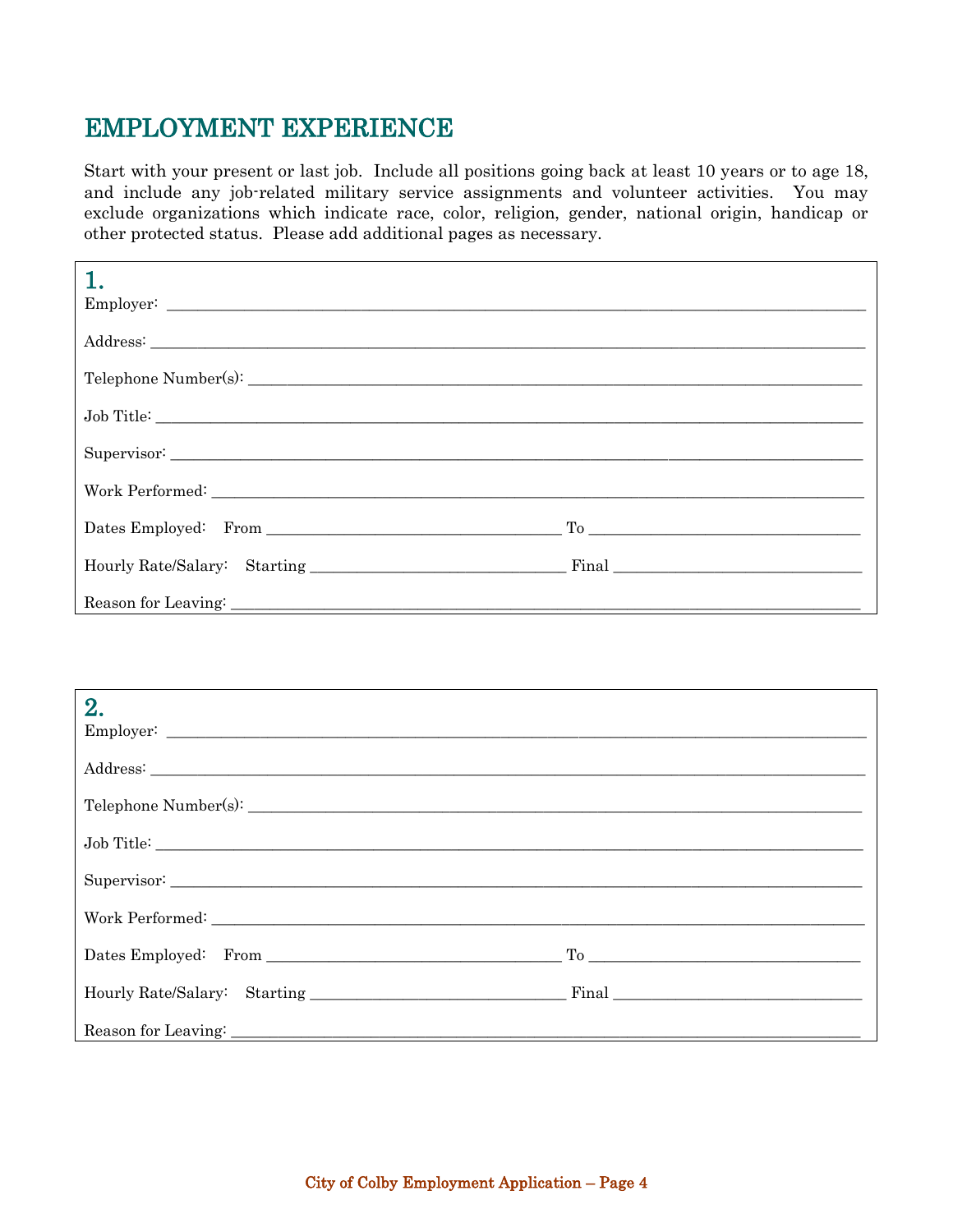## **EMPLOYMENT EXPERIENCE**

Start with your present or last job. Include all positions going back at least 10 years or to age 18, and include any job-related military service assignments and volunteer activities. You may exclude organizations which indicate race, color, religion, gender, national origin, handicap or other protected status. Please add additional pages as necessary.

| 2.<br>Employer:                                                                                                                                                                                                                |  |
|--------------------------------------------------------------------------------------------------------------------------------------------------------------------------------------------------------------------------------|--|
|                                                                                                                                                                                                                                |  |
|                                                                                                                                                                                                                                |  |
|                                                                                                                                                                                                                                |  |
|                                                                                                                                                                                                                                |  |
| Work Performed: New York Deriver and Management of the Contract of the Contract of the Contract of the Contract of the Contract of the Contract of the Contract of the Contract of the Contract of the Contract of the Contrac |  |
|                                                                                                                                                                                                                                |  |
|                                                                                                                                                                                                                                |  |
|                                                                                                                                                                                                                                |  |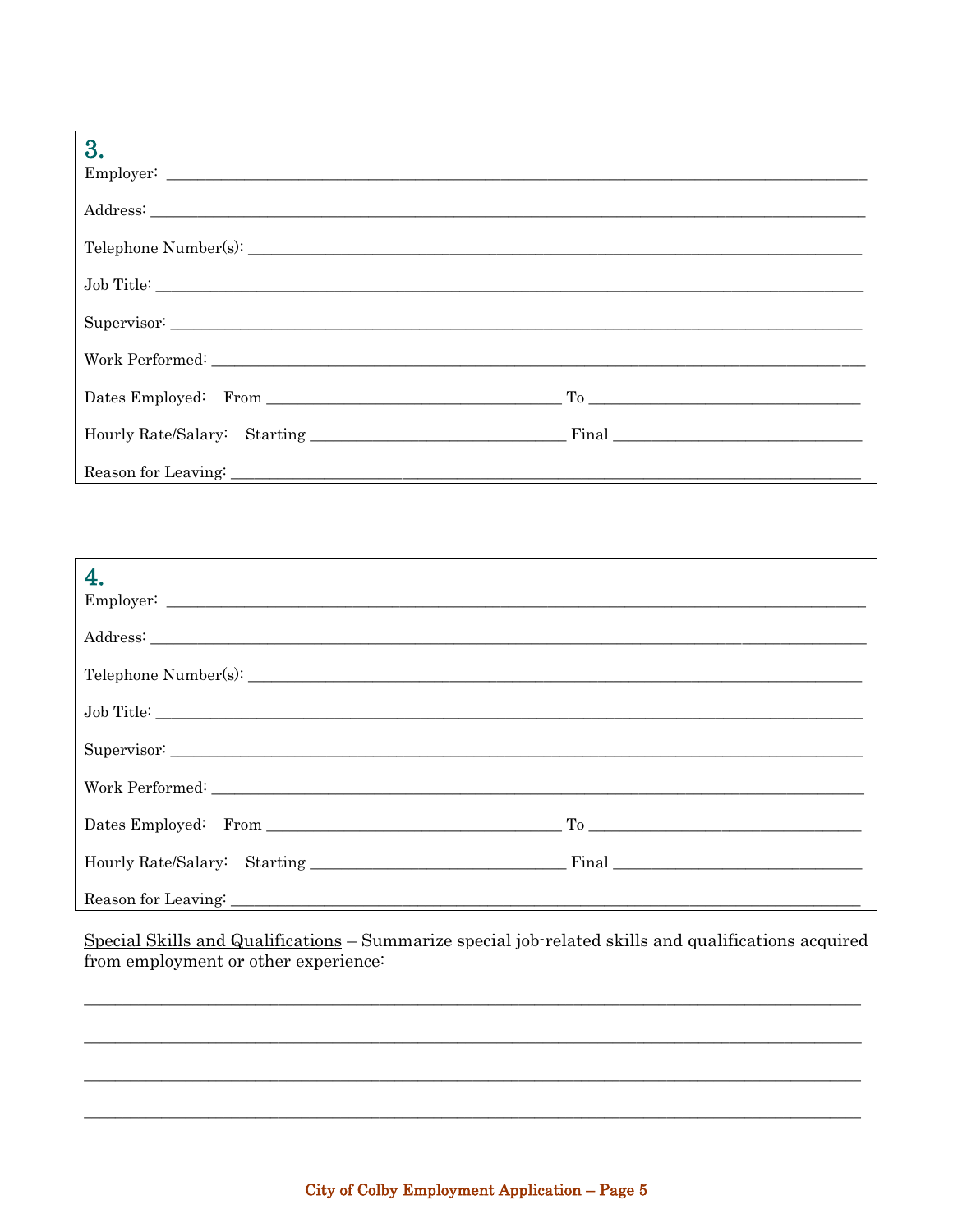| 3.              |  |
|-----------------|--|
|                 |  |
|                 |  |
|                 |  |
|                 |  |
| Work Performed: |  |
|                 |  |
|                 |  |
|                 |  |

| 4. |  |
|----|--|
|    |  |
|    |  |
|    |  |
|    |  |
|    |  |
|    |  |
|    |  |
|    |  |

 ${\bf Special\; Skills\; and\; Qualifications-Summarize\; special\; job-related\; skills\; and\;qualifications\; acquired\; from\; employment\; or\; other\; experience:}$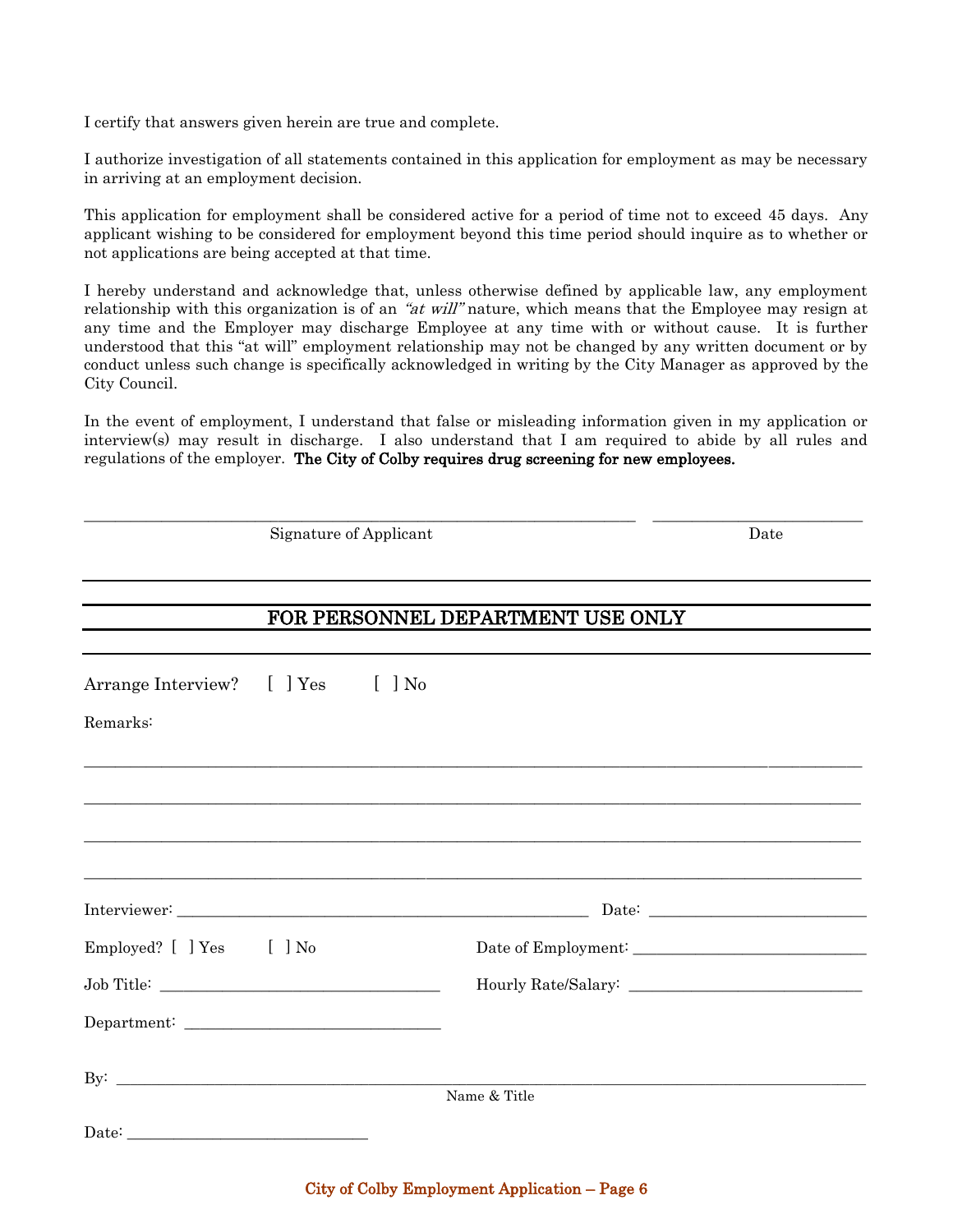I certify that answers given herein are true and complete.

I authorize investigation of all statements contained in this application for employment as may be necessary in arriving at an employment decision.

This application for employment shall be considered active for a period of time not to exceed 45 days. Any applicant wishing to be considered for employment beyond this time period should inquire as to whether or not applications are being accepted at that time.

I hereby understand and acknowledge that, unless otherwise defined by applicable law, any employment relationship with this organization is of an "at will" nature, which means that the Employee may resign at any time and the Employer may discharge Employee at any time with or without cause. It is further understood that this "at will" employment relationship may not be changed by any written document or by conduct unless such change is specifically acknowledged in writing by the City Manager as approved by the City Council.

In the event of employment, I understand that false or misleading information given in my application or interview(s) may result in discharge. I also understand that I am required to abide by all rules and regulations of the employer. The City of Colby requires drug screening for new employees.

|                                                                                                               | Signature of Applicant | Date |                                                                                                                       |
|---------------------------------------------------------------------------------------------------------------|------------------------|------|-----------------------------------------------------------------------------------------------------------------------|
|                                                                                                               |                        |      | FOR PERSONNEL DEPARTMENT USE ONLY                                                                                     |
| Arrange Interview? [ ] Yes [ ] No                                                                             |                        |      |                                                                                                                       |
| Remarks:                                                                                                      |                        |      |                                                                                                                       |
|                                                                                                               |                        |      | <u> 1989 - Johann Harry Harry Harry Harry Harry Harry Harry Harry Harry Harry Harry Harry Harry Harry Harry Harry</u> |
|                                                                                                               |                        |      | ,我们也不能在这里的人,我们也不能在这里的人,我们也不能在这里的人,我们也不能在这里的人,我们也不能在这里的人,我们也不能在这里的人,我们也不能在这里的人,我们也                                     |
|                                                                                                               |                        |      |                                                                                                                       |
|                                                                                                               |                        |      |                                                                                                                       |
| Employed? [ ] Yes [ ] No                                                                                      |                        |      |                                                                                                                       |
|                                                                                                               |                        |      |                                                                                                                       |
|                                                                                                               |                        |      |                                                                                                                       |
| By: $\qquad \qquad$                                                                                           |                        |      |                                                                                                                       |
|                                                                                                               |                        |      | Name & Title                                                                                                          |
| ${\rm Date:} \begin{tabular}{ c c c } \hline \quad \quad & \quad \quad & \quad \quad \\ \hline \end{tabular}$ |                        |      |                                                                                                                       |